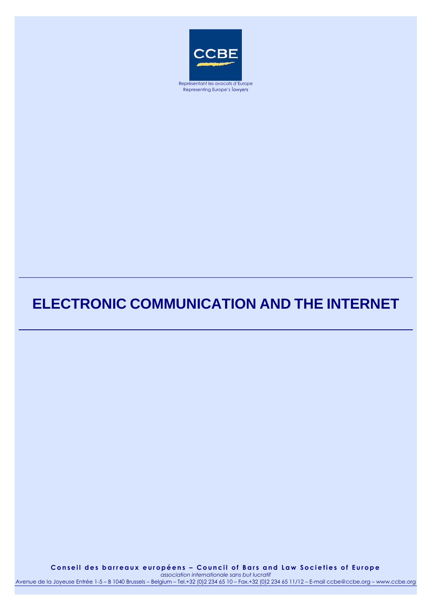

# Representing Europe's lawyers

# **ELECTRONIC COMMUNICATION AND THE INTERNET**

Conseil des barreaux européens - Council of Bars and Law Societies of Europe *association internationale sans but lucratif* Avenue de la Joyeuse Entrée 1-5 – B 1040 Brussels – Belgium – Tel.+32 (0)2 234 65 10 – Fax.+32 (0)2 234 65 11/12 – E-mail ccbe@ccbe.org – www.ccbe.org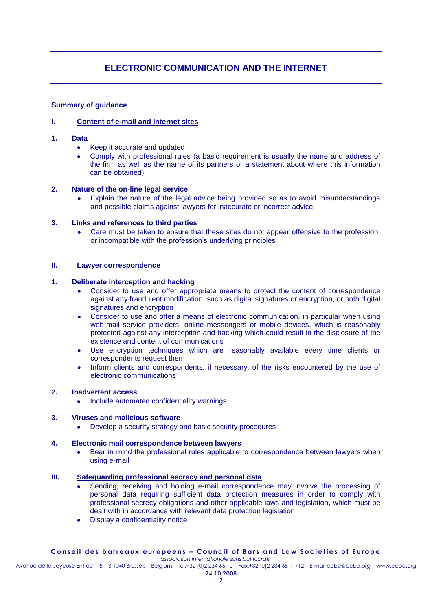# **ELECTRONIC COMMUNICATION AND THE INTERNET**

# **Summary of guidance**

# **I. Content of e-mail and Internet sites**

- **1. Data**
	- Keep it accurate and updated  $\bullet$
	- Comply with professional rules (a basic requirement is usually the name and address of the firm as well as the name of its partners or a statement about where this information can be obtained)

# **2. Nature of the on-line legal service**

Explain the nature of the legal advice being provided so as to avoid misunderstandings  $\bullet$ and possible claims against lawyers for inaccurate or incorrect advice

# **3. Links and references to third parties**

Care must be taken to ensure that these sites do not appear offensive to the profession,  $\bullet$ or incompatible with the profession"s underlying principles

# **II. Lawyer correspondence**

# **1. Deliberate interception and hacking**

- Consider to use and offer appropriate means to protect the content of correspondence against any fraudulent modification, such as digital signatures or encryption, or both digital signatures and encryption
- Consider to use and offer a means of electronic communication, in particular when using  $\bullet$ web-mail service providers, online messengers or mobile devices, which is reasonably protected against any interception and hacking which could result in the disclosure of the existence and content of communications
- Use encryption techniques which are reasonably available every time clients or  $\bullet$ correspondents request them
- Inform clients and correspondents, if necessary, of the risks encountered by the use of  $\bullet$ electronic communications

# **2. Inadvertent access**

Include automated confidentiality warnings  $\bullet$ 

#### **3. Viruses and malicious software**

Develop a security strategy and basic security procedures  $\bullet$ 

# **4. Electronic mail correspondence between lawyers**

Bear in mind the professional rules applicable to correspondence between lawyers when  $\bullet$ using e-mail

# **III. Safeguarding professional secrecy and personal data**

- Sending, receiving and holding e-mail correspondence may involve the processing of personal data requiring sufficient data protection measures in order to comply with professional secrecy obligations and other applicable laws and legislation, which must be dealt with in accordance with relevant data protection legislation
- Display a confidentiality notice

#### **C o n s e i l d e s b a r r e a u x e u r o p é e n s – C o u n c i l o f B a r s a n d L a w S o c i e t i e s o f E u r o p e** *association internationale sans but lucratif*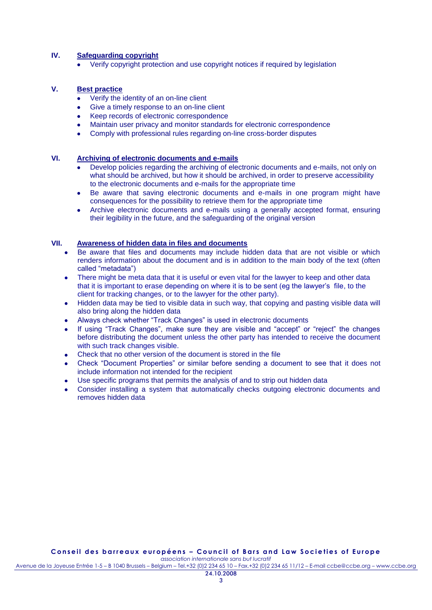# **IV. Safeguarding copyright**

Verify copyright protection and use copyright notices if required by legislation

# **V. Best practice**

- Verify the identity of an on-line client  $\bullet$
- Give a timely response to an on-line client  $\bullet$
- $\bullet$ Keep records of electronic correspondence
- Maintain user privacy and monitor standards for electronic correspondence  $\bullet$
- Comply with professional rules regarding on-line cross-border disputes

# **VI. Archiving of electronic documents and e-mails**

- Develop policies regarding the archiving of electronic documents and e-mails, not only on what should be archived, but how it should be archived, in order to preserve accessibility to the electronic documents and e-mails for the appropriate time
- Be aware that saving electronic documents and e-mails in one program might have consequences for the possibility to retrieve them for the appropriate time
- Archive electronic documents and e-mails using a generally accepted format, ensuring their legibility in the future, and the safeguarding of the original version

# **VII. Awareness of hidden data in files and documents**

- Be aware that files and documents may include hidden data that are not visible or which renders information about the document and is in addition to the main body of the text (often called "metadata")
- There might be meta data that it is useful or even vital for the lawyer to keep and other data that it is important to erase depending on where it is to be sent (eg the lawyer"s file, to the client for tracking changes, or to the lawyer for the other party).
- $\bullet$ Hidden data may be tied to visible data in such way, that copying and pasting visible data will also bring along the hidden data
- Always check whether "Track Changes" is used in electronic documents  $\bullet$
- If using "Track Changes", make sure they are visible and "accept" or "reject" the changes before distributing the document unless the other party has intended to receive the document with such track changes visible.
- Check that no other version of the document is stored in the file
- Check "Document Properties" or similar before sending a document to see that it does not include information not intended for the recipient
- Use specific programs that permits the analysis of and to strip out hidden data
- Consider installing a system that automatically checks outgoing electronic documents and removes hidden data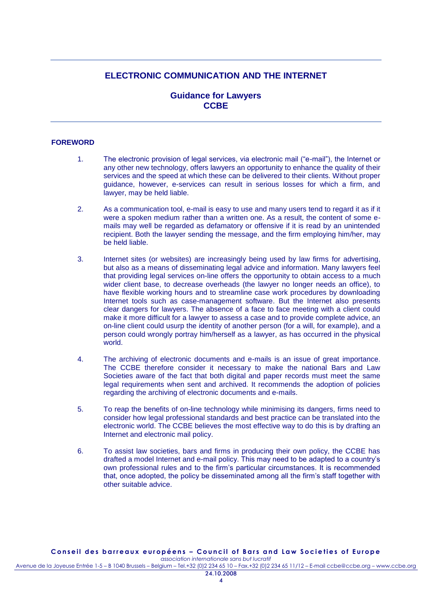# **ELECTRONIC COMMUNICATION AND THE INTERNET**

# **Guidance for Lawyers CCBE**

# **FOREWORD**

- 1. The electronic provision of legal services, via electronic mail ("e-mail"), the Internet or any other new technology, offers lawyers an opportunity to enhance the quality of their services and the speed at which these can be delivered to their clients. Without proper guidance, however, e-services can result in serious losses for which a firm, and lawyer, may be held liable.
- 2. As a communication tool, e-mail is easy to use and many users tend to regard it as if it were a spoken medium rather than a written one. As a result, the content of some emails may well be regarded as defamatory or offensive if it is read by an unintended recipient. Both the lawyer sending the message, and the firm employing him/her, may be held liable.
- 3. Internet sites (or websites) are increasingly being used by law firms for advertising, but also as a means of disseminating legal advice and information. Many lawyers feel that providing legal services on-line offers the opportunity to obtain access to a much wider client base, to decrease overheads (the lawyer no longer needs an office), to have flexible working hours and to streamline case work procedures by downloading Internet tools such as case-management software. But the Internet also presents clear dangers for lawyers. The absence of a face to face meeting with a client could make it more difficult for a lawyer to assess a case and to provide complete advice, an on-line client could usurp the identity of another person (for a will, for example), and a person could wrongly portray him/herself as a lawyer, as has occurred in the physical world.
- 4. The archiving of electronic documents and e-mails is an issue of great importance. The CCBE therefore consider it necessary to make the national Bars and Law Societies aware of the fact that both digital and paper records must meet the same legal requirements when sent and archived. It recommends the adoption of policies regarding the archiving of electronic documents and e-mails.
- 5. To reap the benefits of on-line technology while minimising its dangers, firms need to consider how legal professional standards and best practice can be translated into the electronic world. The CCBE believes the most effective way to do this is by drafting an Internet and electronic mail policy.
- 6. To assist law societies, bars and firms in producing their own policy, the CCBE has drafted a model Internet and e-mail policy. This may need to be adapted to a country"s own professional rules and to the firm"s particular circumstances. It is recommended that, once adopted, the policy be disseminated among all the firm"s staff together with other suitable advice.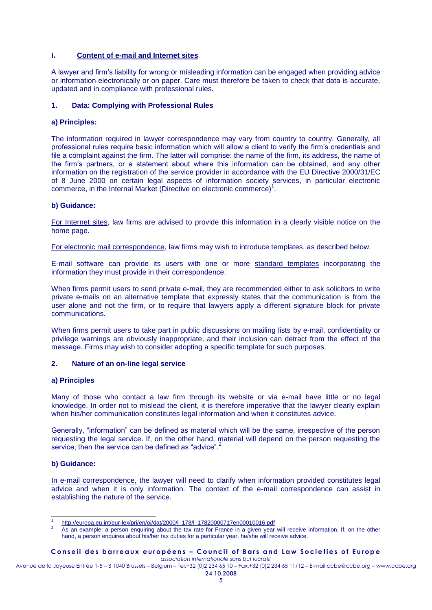# **I. Content of e-mail and Internet sites**

A lawyer and firm"s liability for wrong or misleading information can be engaged when providing advice or information electronically or on paper. Care must therefore be taken to check that data is accurate, updated and in compliance with professional rules.

# **1. Data: Complying with Professional Rules**

# **a) Principles:**

The information required in lawyer correspondence may vary from country to country. Generally, all professional rules require basic information which will allow a client to verify the firm"s credentials and file a complaint against the firm. The latter will comprise: the name of the firm, its address, the name of the firm"s partners, or a statement about where this information can be obtained, and any other information on the registration of the service provider in accordance with the EU Directive 2000/31/EC of 8 June 2000 on certain legal aspects of information society services, in particular electronic commerce, in the Internal Market (Directive on electronic commerce)<sup>1</sup>.

#### **b) Guidance:**

For Internet sites, law firms are advised to provide this information in a clearly visible notice on the home page.

For electronic mail correspondence, law firms may wish to introduce templates, as described below.

E-mail software can provide its users with one or more standard templates incorporating the information they must provide in their correspondence.

When firms permit users to send private e-mail, they are recommended either to ask solicitors to write private e-mails on an alternative template that expressly states that the communication is from the user alone and not the firm, or to require that lawyers apply a different signature block for private communications.

When firms permit users to take part in public discussions on mailing lists by e-mail, confidentiality or privilege warnings are obviously inappropriate, and their inclusion can detract from the effect of the message. Firms may wish to consider adopting a specific template for such purposes.

#### **2. Nature of an on-line legal service**

## **a) Principles**

Many of those who contact a law firm through its website or via e-mail have little or no legal knowledge. In order not to mislead the client, it is therefore imperative that the lawyer clearly explain when his/her communication constitutes legal information and when it constitutes advice.

Generally, "information" can be defined as material which will be the same, irrespective of the person requesting the legal service. If, on the other hand, material will depend on the person requesting the service, then the service can be defined as "advice".

## **b) Guidance:**

In e-mail correspondence, the lawyer will need to clarify when information provided constitutes legal advice and when it is only information. The context of the e-mail correspondence can assist in establishing the nature of the service.

#### **C o n s e i l d e s b a r r e a u x e u r o p é e n s – C o u n c i l o f B a r s a n d L a w S o c i e t i e s o f E u r o p e** *association internationale sans but lucratif*

<sup>-</sup>1 [http://europa.eu.int/eur-lex/pri/en/oj/dat/2000/l\\_178/l\\_17820000717en00010016.pdf](http://europa.eu.int/eur-lex/pri/en/oj/dat/2000/l_178/l_17820000717en00010016.pdf)

As an example: a person enquiring about the tax rate for France in a given year will receive information. If, on the other hand, a person enquires about his/her tax duties for a particular year, he/she will receive advice.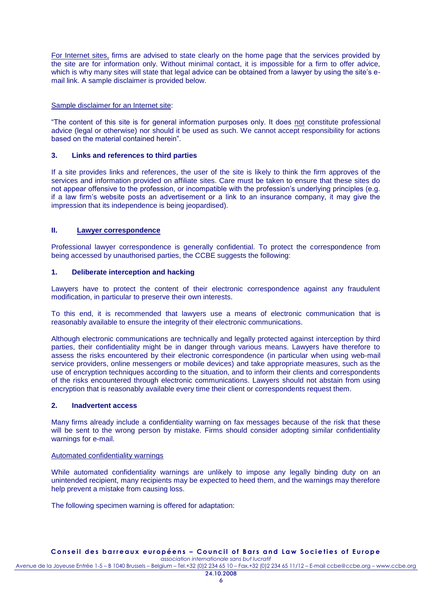For Internet sites, firms are advised to state clearly on the home page that the services provided by the site are for information only. Without minimal contact, it is impossible for a firm to offer advice, which is why many sites will state that legal advice can be obtained from a lawyer by using the site's email link. A sample disclaimer is provided below.

# Sample disclaimer for an Internet site:

"The content of this site is for general information purposes only. It does not constitute professional advice (legal or otherwise) nor should it be used as such. We cannot accept responsibility for actions based on the material contained herein".

# **3. Links and references to third parties**

If a site provides links and references, the user of the site is likely to think the firm approves of the services and information provided on affiliate sites. Care must be taken to ensure that these sites do not appear offensive to the profession, or incompatible with the profession"s underlying principles (e.g. if a law firm"s website posts an advertisement or a link to an insurance company, it may give the impression that its independence is being jeopardised).

# **II. Lawyer correspondence**

Professional lawyer correspondence is generally confidential. To protect the correspondence from being accessed by unauthorised parties, the CCBE suggests the following:

# **1. Deliberate interception and hacking**

Lawyers have to protect the content of their electronic correspondence against any fraudulent modification, in particular to preserve their own interests.

To this end, it is recommended that lawyers use a means of electronic communication that is reasonably available to ensure the integrity of their electronic communications.

Although electronic communications are technically and legally protected against interception by third parties, their confidentiality might be in danger through various means. Lawyers have therefore to assess the risks encountered by their electronic correspondence (in particular when using web-mail service providers, online messengers or mobile devices) and take appropriate measures, such as the use of encryption techniques according to the situation, and to inform their clients and correspondents of the risks encountered through electronic communications. Lawyers should not abstain from using encryption that is reasonably available every time their client or correspondents request them.

# **2. Inadvertent access**

Many firms already include a confidentiality warning on fax messages because of the risk that these will be sent to the wrong person by mistake. Firms should consider adopting similar confidentiality warnings for e-mail.

# Automated confidentiality warnings

While automated confidentiality warnings are unlikely to impose any legally binding duty on an unintended recipient, many recipients may be expected to heed them, and the warnings may therefore help prevent a mistake from causing loss.

The following specimen warning is offered for adaptation: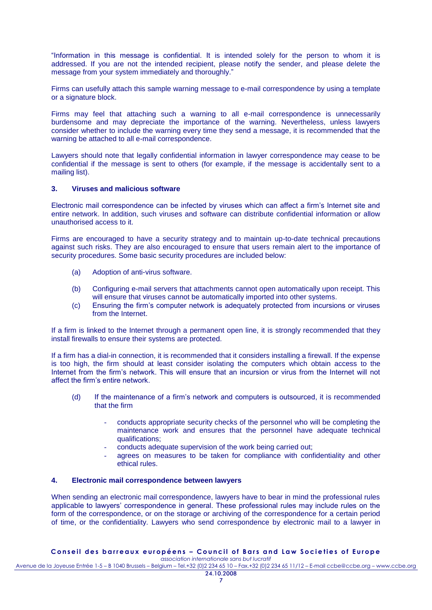"Information in this message is confidential. It is intended solely for the person to whom it is addressed. If you are not the intended recipient, please notify the sender, and please delete the message from your system immediately and thoroughly."

Firms can usefully attach this sample warning message to e-mail correspondence by using a template or a signature block.

Firms may feel that attaching such a warning to all e-mail correspondence is unnecessarily burdensome and may depreciate the importance of the warning. Nevertheless, unless lawyers consider whether to include the warning every time they send a message, it is recommended that the warning be attached to all e-mail correspondence.

Lawyers should note that legally confidential information in lawyer correspondence may cease to be confidential if the message is sent to others (for example, if the message is accidentally sent to a mailing list).

# **3. Viruses and malicious software**

Electronic mail correspondence can be infected by viruses which can affect a firm"s Internet site and entire network. In addition, such viruses and software can distribute confidential information or allow unauthorised access to it.

Firms are encouraged to have a security strategy and to maintain up-to-date technical precautions against such risks. They are also encouraged to ensure that users remain alert to the importance of security procedures. Some basic security procedures are included below:

- (a) Adoption of anti-virus software.
- (b) Configuring e-mail servers that attachments cannot open automatically upon receipt. This will ensure that viruses cannot be automatically imported into other systems.
- (c) Ensuring the firm"s computer network is adequately protected from incursions or viruses from the Internet.

If a firm is linked to the Internet through a permanent open line, it is strongly recommended that they install firewalls to ensure their systems are protected.

If a firm has a dial-in connection, it is recommended that it considers installing a firewall. If the expense is too high, the firm should at least consider isolating the computers which obtain access to the Internet from the firm"s network. This will ensure that an incursion or virus from the Internet will not affect the firm"s entire network.

- (d) If the maintenance of a firm"s network and computers is outsourced, it is recommended that the firm
	- conducts appropriate security checks of the personnel who will be completing the maintenance work and ensures that the personnel have adequate technical qualifications;
	- conducts adequate supervision of the work being carried out;
	- agrees on measures to be taken for compliance with confidentiality and other ethical rules.

# **4. Electronic mail correspondence between lawyers**

When sending an electronic mail correspondence, lawyers have to bear in mind the professional rules applicable to lawyers" correspondence in general. These professional rules may include rules on the form of the correspondence, or on the storage or archiving of the correspondence for a certain period of time, or the confidentiality. Lawyers who send correspondence by electronic mail to a lawyer in

# **C o n s e i l d e s b a r r e a u x e u r o p é e n s – C o u n c i l o f B a r s a n d L a w S o c i e t i e s o f E u r o p e**

*association internationale sans but lucratif* Avenue de la Joyeuse Entrée 1-5 – B 1040 Brussels – Belgium – Tel.+32 (0)2 234 65 10 – Fax.+32 (0)2 234 65 11/12 – E-mail ccbe@ccbe.org – www.ccbe.org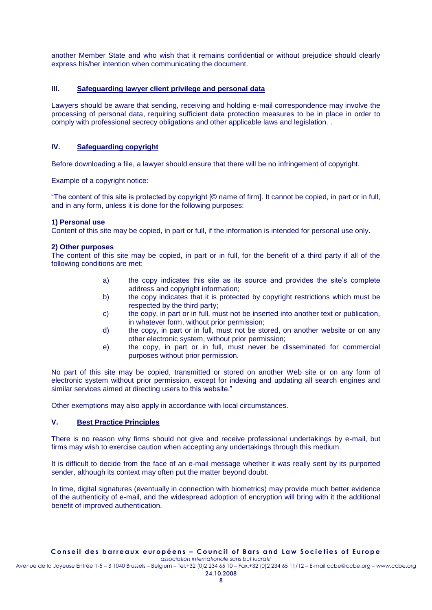another Member State and who wish that it remains confidential or without prejudice should clearly express his/her intention when communicating the document.

# **III. Safeguarding lawyer client privilege and personal data**

Lawyers should be aware that sending, receiving and holding e-mail correspondence may involve the processing of personal data, requiring sufficient data protection measures to be in place in order to comply with professional secrecy obligations and other applicable laws and legislation. .

# **IV. Safeguarding copyright**

Before downloading a file, a lawyer should ensure that there will be no infringement of copyright.

#### Example of a copyright notice:

"The content of this site is protected by copyright [© name of firm]. It cannot be copied, in part or in full, and in any form, unless it is done for the following purposes:

# **1) Personal use**

Content of this site may be copied, in part or full, if the information is intended for personal use only.

#### **2) Other purposes**

The content of this site may be copied, in part or in full, for the benefit of a third party if all of the following conditions are met:

- a) the copy indicates this site as its source and provides the site"s complete address and copyright information;
- b) the copy indicates that it is protected by copyright restrictions which must be respected by the third party;
- c) the copy, in part or in full, must not be inserted into another text or publication, in whatever form, without prior permission;
- d) the copy, in part or in full, must not be stored, on another website or on any other electronic system, without prior permission;
- e) the copy, in part or in full, must never be disseminated for commercial purposes without prior permission.

No part of this site may be copied, transmitted or stored on another Web site or on any form of electronic system without prior permission, except for indexing and updating all search engines and similar services aimed at directing users to this website."

Other exemptions may also apply in accordance with local circumstances.

# **V. Best Practice Principles**

There is no reason why firms should not give and receive professional undertakings by e-mail, but firms may wish to exercise caution when accepting any undertakings through this medium.

It is difficult to decide from the face of an e-mail message whether it was really sent by its purported sender, although its context may often put the matter beyond doubt.

In time, digital signatures (eventually in connection with biometrics) may provide much better evidence of the authenticity of e-mail, and the widespread adoption of encryption will bring with it the additional benefit of improved authentication.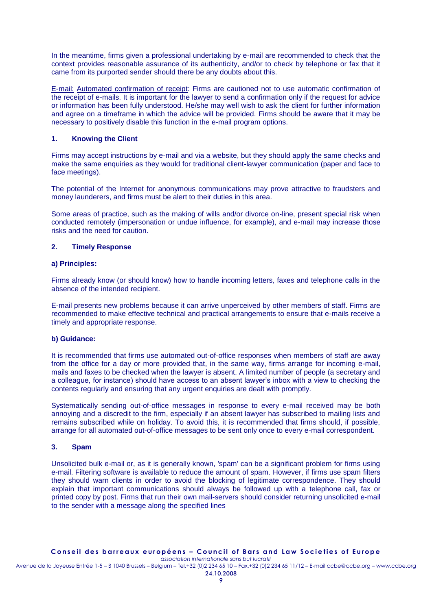In the meantime, firms given a professional undertaking by e-mail are recommended to check that the context provides reasonable assurance of its authenticity, and/or to check by telephone or fax that it came from its purported sender should there be any doubts about this.

E-mail: Automated confirmation of receipt: Firms are cautioned not to use automatic confirmation of the receipt of e-mails. It is important for the lawyer to send a confirmation only if the request for advice or information has been fully understood. He/she may well wish to ask the client for further information and agree on a timeframe in which the advice will be provided. Firms should be aware that it may be necessary to positively disable this function in the e-mail program options.

# **1. Knowing the Client**

Firms may accept instructions by e-mail and via a website, but they should apply the same checks and make the same enquiries as they would for traditional client-lawyer communication (paper and face to face meetings).

The potential of the Internet for anonymous communications may prove attractive to fraudsters and money launderers, and firms must be alert to their duties in this area.

Some areas of practice, such as the making of wills and/or divorce on-line, present special risk when conducted remotely (impersonation or undue influence, for example), and e-mail may increase those risks and the need for caution.

# **2. Timely Response**

#### **a) Principles:**

Firms already know (or should know) how to handle incoming letters, faxes and telephone calls in the absence of the intended recipient.

E-mail presents new problems because it can arrive unperceived by other members of staff. Firms are recommended to make effective technical and practical arrangements to ensure that e-mails receive a timely and appropriate response.

#### **b) Guidance:**

It is recommended that firms use automated out-of-office responses when members of staff are away from the office for a day or more provided that, in the same way, firms arrange for incoming e-mail, mails and faxes to be checked when the lawyer is absent. A limited number of people (a secretary and a colleague, for instance) should have access to an absent lawyer"s inbox with a view to checking the contents regularly and ensuring that any urgent enquiries are dealt with promptly.

Systematically sending out-of-office messages in response to every e-mail received may be both annoying and a discredit to the firm, especially if an absent lawyer has subscribed to mailing lists and remains subscribed while on holiday. To avoid this, it is recommended that firms should, if possible, arrange for all automated out-of-office messages to be sent only once to every e-mail correspondent.

#### **3. Spam**

Unsolicited bulk e-mail or, as it is generally known, 'spam' can be a significant problem for firms using e-mail. Filtering software is available to reduce the amount of spam. However, if firms use spam filters they should warn clients in order to avoid the blocking of legitimate correspondence. They should explain that important communications should always be followed up with a telephone call, fax or printed copy by post. Firms that run their own mail-servers should consider returning unsolicited e-mail to the sender with a message along the specified lines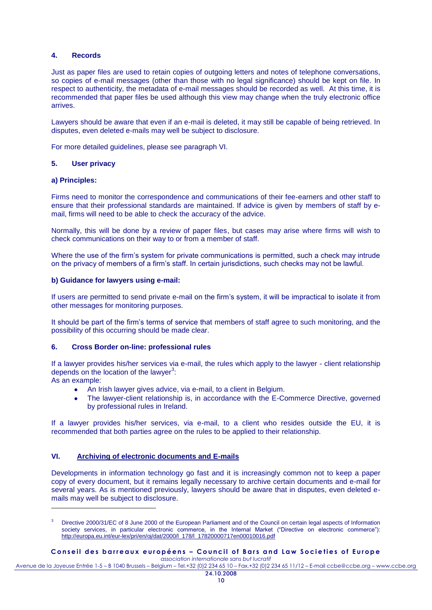# **4. Records**

Just as paper files are used to retain copies of outgoing letters and notes of telephone conversations, so copies of e-mail messages (other than those with no legal significance) should be kept on file. In respect to authenticity, the metadata of e-mail messages should be recorded as well. At this time, it is recommended that paper files be used although this view may change when the truly electronic office arrives.

Lawyers should be aware that even if an e-mail is deleted, it may still be capable of being retrieved. In disputes, even deleted e-mails may well be subject to disclosure.

For more detailed guidelines, please see paragraph VI.

#### **5. User privacy**

#### **a) Principles:**

-

Firms need to monitor the correspondence and communications of their fee-earners and other staff to ensure that their professional standards are maintained. If advice is given by members of staff by email, firms will need to be able to check the accuracy of the advice.

Normally, this will be done by a review of paper files, but cases may arise where firms will wish to check communications on their way to or from a member of staff.

Where the use of the firm"s system for private communications is permitted, such a check may intrude on the privacy of members of a firm"s staff. In certain jurisdictions, such checks may not be lawful.

#### **b) Guidance for lawyers using e-mail:**

If users are permitted to send private e-mail on the firm"s system, it will be impractical to isolate it from other messages for monitoring purposes.

It should be part of the firm"s terms of service that members of staff agree to such monitoring, and the possibility of this occurring should be made clear.

# **6. Cross Border on-line: professional rules**

If a lawyer provides his/her services via e-mail, the rules which apply to the lawyer - client relationship depends on the location of the lawyer $^3$ : As an example:

An Irish lawyer gives advice, via e-mail, to a client in Belgium.

The lawyer-client relationship is, in accordance with the E-Commerce Directive, governed by professional rules in Ireland.

If a lawyer provides his/her services, via e-mail, to a client who resides outside the EU, it is recommended that both parties agree on the rules to be applied to their relationship.

# **VI. Archiving of electronic documents and E-mails**

Developments in information technology go fast and it is increasingly common not to keep a paper copy of every document, but it remains legally necessary to archive certain documents and e-mail for several years. As is mentioned previously, lawyers should be aware that in disputes, even deleted emails may well be subject to disclosure.

#### **C o n s e i l d e s b a r r e a u x e u r o p é e n s – C o u n c i l o f B a r s a n d L a w S o c i e t i e s o f E u r o p e** *association internationale sans but lucratif*

Directive 2000/31/EC of 8 June 2000 of the European Parliament and of the Council on certain legal aspects of Information society services, in particular electronic commerce, in the Internal Market ("Directive on electronic commerce"): [http://europa.eu.int/eur-lex/pri/en/oj/dat/2000/l\\_178/l\\_17820000717en00010016.pdf](http://europa.eu.int/eur-lex/pri/en/oj/dat/2000/l_178/l_17820000717en00010016.pdf)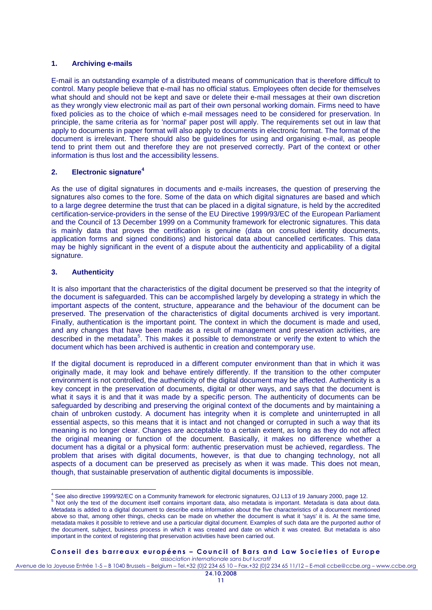# **1. Archiving e-mails**

E-mail is an outstanding example of a distributed means of communication that is therefore difficult to control. Many people believe that e-mail has no official status. Employees often decide for themselves what should and should not be kept and save or delete their e-mail messages at their own discretion as they wrongly view electronic mail as part of their own personal working domain. Firms need to have fixed policies as to the choice of which e-mail messages need to be considered for preservation. In principle, the same criteria as for 'normal' paper post will apply. The requirements set out in law that apply to documents in paper format will also apply to documents in electronic format. The format of the document is irrelevant. There should also be guidelines for using and organising e-mail, as people tend to print them out and therefore they are not preserved correctly. Part of the context or other information is thus lost and the accessibility lessens.

# **2. Electronic signature<sup>4</sup>**

As the use of digital signatures in documents and e-mails increases, the question of preserving the signatures also comes to the fore. Some of the data on which digital signatures are based and which to a large degree determine the trust that can be placed in a digital signature, is held by the accredited certification-service-providers in the sense of the EU Directive 1999/93/EC of the European Parliament and the Council of 13 December 1999 on a Community framework for electronic signatures. This data is mainly data that proves the certification is genuine (data on consulted identity documents, application forms and signed conditions) and historical data about cancelled certificates. This data may be highly significant in the event of a dispute about the authenticity and applicability of a digital signature.

# **3. Authenticity**

It is also important that the characteristics of the digital document be preserved so that the integrity of the document is safeguarded. This can be accomplished largely by developing a strategy in which the important aspects of the content, structure, appearance and the behaviour of the document can be preserved. The preservation of the characteristics of digital documents archived is very important. Finally, authentication is the important point. The context in which the document is made and used, and any changes that have been made as a result of management and preservation activities, are described in the metadata<sup>5</sup>. This makes it possible to demonstrate or verify the extent to which the document which has been archived is authentic in creation and contemporary use.

If the digital document is reproduced in a different computer environment than that in which it was originally made, it may look and behave entirely differently. If the transition to the other computer environment is not controlled, the authenticity of the digital document may be affected. Authenticity is a key concept in the preservation of documents, digital or other ways, and says that the document is what it says it is and that it was made by a specific person. The authenticity of documents can be safeguarded by describing and preserving the original context of the documents and by maintaining a chain of unbroken custody. A document has integrity when it is complete and uninterrupted in all essential aspects, so this means that it is intact and not changed or corrupted in such a way that its meaning is no longer clear. Changes are acceptable to a certain extent, as long as they do not affect the original meaning or function of the document. Basically, it makes no difference whether a document has a digital or a physical form: authentic preservation must be achieved, regardless. The problem that arises with digital documents, however, is that due to changing technology, not all aspects of a document can be preserved as precisely as when it was made. This does not mean, though, that sustainable preservation of authentic digital documents is impossible.

**C o n s e i l d e s b a r r e a u x e u r o p é e n s – C o u n c i l o f B a r s a n d L a w S o c i e t i e s o f E u r o p e**

*association internationale sans but lucratif* Avenue de la Joyeuse Entrée 1-5 – B 1040 Brussels – Belgium – Tel.+32 (0)2 234 65 10 – Fax.+32 (0)2 234 65 11/12 – E-mail ccbe@ccbe.org – www.ccbe.org

 $\overline{a}$ <sup>4</sup> See also directive 1999/92/EC on a Community framework for electronic signatures, OJ L13 of 19 January 2000, page 12.

<sup>&</sup>lt;sup>5</sup> Not only the text of the document itself contains important data, also metadata is important. Metadata is data about data. Metadata is added to a digital document to describe extra information about the five characteristics of a document mentioned above so that, among other things, checks can be made on whether the document is what it 'says' it is. At the same time, metadata makes it possible to retrieve and use a particular digital document. Examples of such data are the purported author of the document, subject, business process in which it was created and date on which it was created. But metadata is also important in the context of registering that preservation activities have been carried out.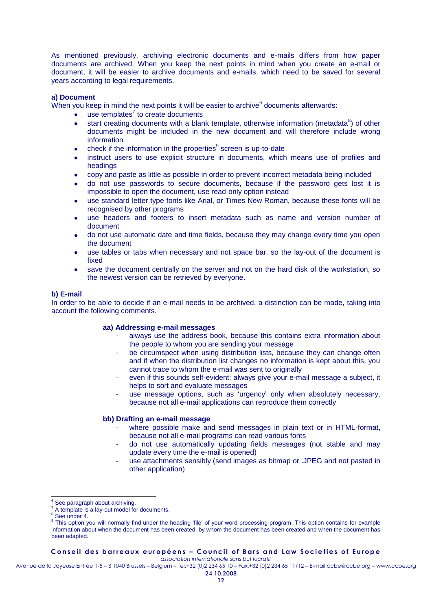As mentioned previously, archiving electronic documents and e-mails differs from how paper documents are archived. When you keep the next points in mind when you create an e-mail or document, it will be easier to archive documents and e-mails, which need to be saved for several years according to legal requirements.

# **a) Document**

When you keep in mind the next points it will be easier to archive $^6$  documents afterwards:

- use templates<sup>7</sup> to create documents
- start creating documents with a blank template, otherwise information (metadata ${}^{8}$ ) of other documents might be included in the new document and will therefore include wrong information
- check if the information in the properties<sup>9</sup> screen is up-to-date
- instruct users to use explicit structure in documents, which means use of profiles and headings
- copy and paste as little as possible in order to prevent incorrect metadata being included
- do not use passwords to secure documents, because if the password gets lost it is impossible to open the document, use read-only option instead
- use standard letter type fonts like Arial, or Times New Roman, because these fonts will be recognised by other programs
- use headers and footers to insert metadata such as name and version number of document
- do not use automatic date and time fields, because they may change every time you open the document
- use tables or tabs when necessary and not space bar, so the lay-out of the document is fixed
- save the document centrally on the server and not on the hard disk of the workstation, so  $\epsilon$ the newest version can be retrieved by everyone.

#### **b) E-mail**

In order to be able to decide if an e-mail needs to be archived, a distinction can be made, taking into account the following comments.

#### **aa) Addressing e-mail messages**

- always use the address book, because this contains extra information about the people to whom you are sending your message
- be circumspect when using distribution lists, because they can change often and if when the distribution list changes no information is kept about this, you cannot trace to whom the e-mail was sent to originally
- even if this sounds self-evident: always give your e-mail message a subject, it helps to sort and evaluate messages
- use message options, such as 'urgency' only when absolutely necessary, because not all e-mail applications can reproduce them correctly

#### **bb) Drafting an e-mail message**

- where possible make and send messages in plain text or in HTML-format, because not all e-mail programs can read various fonts
- do not use automatically updating fields messages (not stable and may update every time the e-mail is opened)
- use attachments sensibly (send images as bitmap or .JPEG and not pasted in other application)

-

**C o n s e i l d e s b a r r e a u x e u r o p é e n s – C o u n c i l o f B a r s a n d L a w S o c i e t i e s o f E u r o p e** *association internationale sans but lucratif*

See paragraph about archiving.

 $7$  A template is a lay-out model for documents.

See under 4.

<sup>&</sup>lt;sup>9</sup> This option you will normally find under the heading 'file' of your word processing program. This option contains for example information about when the document has been created, by whom the document has been created and when the document has been adapted.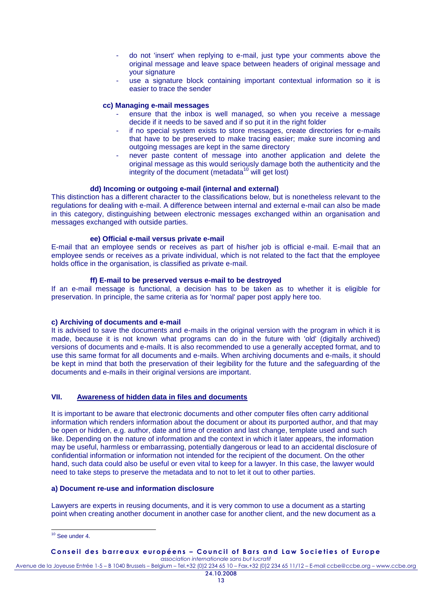- do not 'insert' when replying to e-mail, just type your comments above the original message and leave space between headers of original message and your signature
- use a signature block containing important contextual information so it is easier to trace the sender

#### **cc) Managing e-mail messages**

- ensure that the inbox is well managed, so when you receive a message decide if it needs to be saved and if so put it in the right folder
- if no special system exists to store messages, create directories for e-mails that have to be preserved to make tracing easier; make sure incoming and outgoing messages are kept in the same directory
- never paste content of message into another application and delete the original message as this would seriously damage both the authenticity and the integrity of the document (metadata $10$  will get lost)

# **dd) Incoming or outgoing e-mail (internal and external)**

This distinction has a different character to the classifications below, but is nonetheless relevant to the regulations for dealing with e-mail. A difference between internal and external e-mail can also be made in this category, distinguishing between electronic messages exchanged within an organisation and messages exchanged with outside parties.

# **ee) Official e-mail versus private e-mail**

E-mail that an employee sends or receives as part of his/her job is official e-mail. E-mail that an employee sends or receives as a private individual, which is not related to the fact that the employee holds office in the organisation, is classified as private e-mail.

#### **ff) E-mail to be preserved versus e-mail to be destroyed**

If an e-mail message is functional, a decision has to be taken as to whether it is eligible for preservation. In principle, the same criteria as for 'normal' paper post apply here too.

#### **c) Archiving of documents and e-mail**

It is advised to save the documents and e-mails in the original version with the program in which it is made, because it is not known what programs can do in the future with 'old' (digitally archived) versions of documents and e-mails. It is also recommended to use a generally accepted format, and to use this same format for all documents and e-mails. When archiving documents and e-mails, it should be kept in mind that both the preservation of their legibility for the future and the safeguarding of the documents and e-mails in their original versions are important.

# **VII. Awareness of hidden data in files and documents**

It is important to be aware that electronic documents and other computer files often carry additional information which renders information about the document or about its purported author, and that may be open or hidden, e.g. author, date and time of creation and last change, template used and such like. Depending on the nature of information and the context in which it later appears, the information may be useful, harmless or embarrassing, potentially dangerous or lead to an accidental disclosure of confidential information or information not intended for the recipient of the document. On the other hand, such data could also be useful or even vital to keep for a lawyer. In this case, the lawyer would need to take steps to preserve the metadata and to not to let it out to other parties.

# **a) Document re-use and information disclosure**

Lawyers are experts in reusing documents, and it is very common to use a document as a starting point when creating another document in another case for another client, and the new document as a

#### **C o n s e i l d e s b a r r e a u x e u r o p é e n s – C o u n c i l o f B a r s a n d L a w S o c i e t i e s o f E u r o p e** *association internationale sans but lucratif*

<sup>-</sup><sup>10</sup> See under 4.